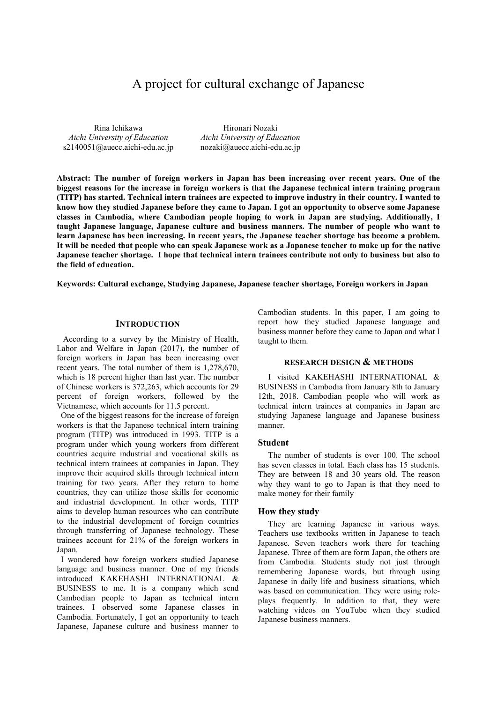# A project for cultural exchange of Japanese

Rina Ichikawa *Aichi University of Education* s2140051@auecc.aichi-edu.ac.jp

Hironari Nozaki *Aichi University of Education* nozaki@auecc.aichi-edu.ac.jp

**Abstract: The number of foreign workers in Japan has been increasing over recent years. One of the biggest reasons for the increase in foreign workers is that the Japanese technical intern training program (TITP) has started. Technical intern trainees are expected to improve industry in their country. I wanted to know how they studied Japanese before they came to Japan. I got an opportunity to observe some Japanese classes in Cambodia, where Cambodian people hoping to work in Japan are studying. Additionally, I taught Japanese language, Japanese culture and business manners. The number of people who want to learn Japanese has been increasing. In recent years, the Japanese teacher shortage has become a problem. It will be needed that people who can speak Japanese work as a Japanese teacher to make up for the native Japanese teacher shortage. I hope that technical intern trainees contribute not only to business but also to the field of education.** 

**Keywords: Cultural exchange, Studying Japanese, Japanese teacher shortage, Foreign workers in Japan** 

## **INTRODUCTION**

 According to a survey by the Ministry of Health, Labor and Welfare in Japan (2017), the number of foreign workers in Japan has been increasing over recent years. The total number of them is 1,278,670, which is 18 percent higher than last year. The number of Chinese workers is 372,263, which accounts for 29 percent of foreign workers, followed by the Vietnamese, which accounts for 11.5 percent.

One of the biggest reasons for the increase of foreign workers is that the Japanese technical intern training program (TITP) was introduced in 1993. TITP is a program under which young workers from different countries acquire industrial and vocational skills as technical intern trainees at companies in Japan. They improve their acquired skills through technical intern training for two years. After they return to home countries, they can utilize those skills for economic and industrial development. In other words, TITP aims to develop human resources who can contribute to the industrial development of foreign countries through transferring of Japanese technology. These trainees account for 21% of the foreign workers in Japan.

I wondered how foreign workers studied Japanese language and business manner. One of my friends introduced KAKEHASHI INTERNATIONAL & BUSINESS to me. It is a company which send Cambodian people to Japan as technical intern trainees. I observed some Japanese classes in Cambodia. Fortunately, I got an opportunity to teach Japanese, Japanese culture and business manner to

Cambodian students. In this paper, I am going to report how they studied Japanese language and business manner before they came to Japan and what I taught to them.

#### **RESEARCH DESIGN & METHODS**

I visited KAKEHASHI INTERNATIONAL & BUSINESS in Cambodia from January 8th to January 12th, 2018. Cambodian people who will work as technical intern trainees at companies in Japan are studying Japanese language and Japanese business manner.

#### **Student**

The number of students is over 100. The school has seven classes in total. Each class has 15 students. They are between 18 and 30 years old. The reason why they want to go to Japan is that they need to make money for their family

#### **How they study**

They are learning Japanese in various ways. Teachers use textbooks written in Japanese to teach Japanese. Seven teachers work there for teaching Japanese. Three of them are form Japan, the others are from Cambodia. Students study not just through remembering Japanese words, but through using Japanese in daily life and business situations, which was based on communication. They were using roleplays frequently. In addition to that, they were watching videos on YouTube when they studied Japanese business manners.